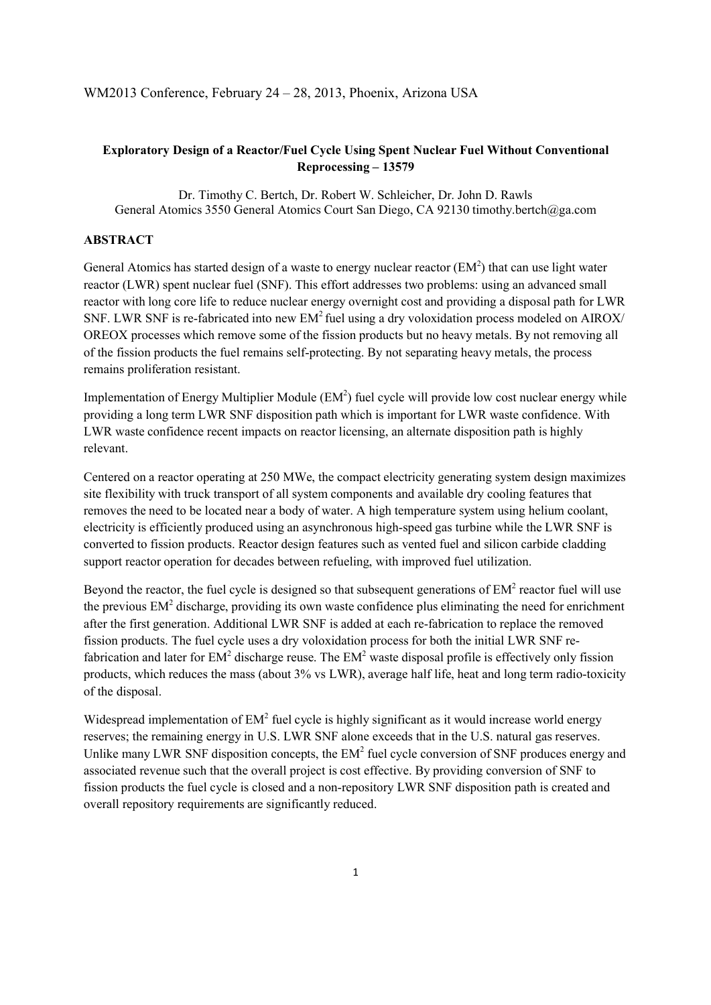## **Exploratory Design of a Reactor/Fuel Cycle Using Spent Nuclear Fuel Without Conventional Reprocessing – 13579**

Dr. Timothy C. Bertch, Dr. Robert W. Schleicher, Dr. John D. Rawls General Atomics 3550 General Atomics Court San Diego, CA 92130 timothy.bertch@ga.com

## **ABSTRACT**

General Atomics has started design of a waste to energy nuclear reactor  $(EM<sup>2</sup>)$  that can use light water reactor (LWR) spent nuclear fuel (SNF). This effort addresses two problems: using an advanced small reactor with long core life to reduce nuclear energy overnight cost and providing a disposal path for LWR SNF. LWR SNF is re-fabricated into new  $EM^2$  fuel using a dry voloxidation process modeled on AIROX/ OREOX processes which remove some of the fission products but no heavy metals. By not removing all of the fission products the fuel remains self-protecting. By not separating heavy metals, the process remains proliferation resistant.

Implementation of Energy Multiplier Module  $(EM<sup>2</sup>)$  fuel cycle will provide low cost nuclear energy while providing a long term LWR SNF disposition path which is important for LWR waste confidence. With LWR waste confidence recent impacts on reactor licensing, an alternate disposition path is highly relevant.

Centered on a reactor operating at 250 MWe, the compact electricity generating system design maximizes site flexibility with truck transport of all system components and available dry cooling features that removes the need to be located near a body of water. A high temperature system using helium coolant, electricity is efficiently produced using an asynchronous high-speed gas turbine while the LWR SNF is converted to fission products. Reactor design features such as vented fuel and silicon carbide cladding support reactor operation for decades between refueling, with improved fuel utilization.

Beyond the reactor, the fuel cycle is designed so that subsequent generations of  $EM<sup>2</sup>$  reactor fuel will use the previous  $EM<sup>2</sup>$  discharge, providing its own waste confidence plus eliminating the need for enrichment after the first generation. Additional LWR SNF is added at each re-fabrication to replace the removed fission products. The fuel cycle uses a dry voloxidation process for both the initial LWR SNF refabrication and later for  $EM^2$  discharge reuse. The  $EM^2$  waste disposal profile is effectively only fission products, which reduces the mass (about 3% vs LWR), average half life, heat and long term radio-toxicity of the disposal.

Widespread implementation of  $EM<sup>2</sup>$  fuel cycle is highly significant as it would increase world energy reserves; the remaining energy in U.S. LWR SNF alone exceeds that in the U.S. natural gas reserves. Unlike many LWR SNF disposition concepts, the  $EM<sup>2</sup>$  fuel cycle conversion of SNF produces energy and associated revenue such that the overall project is cost effective. By providing conversion of SNF to fission products the fuel cycle is closed and a non-repository LWR SNF disposition path is created and overall repository requirements are significantly reduced.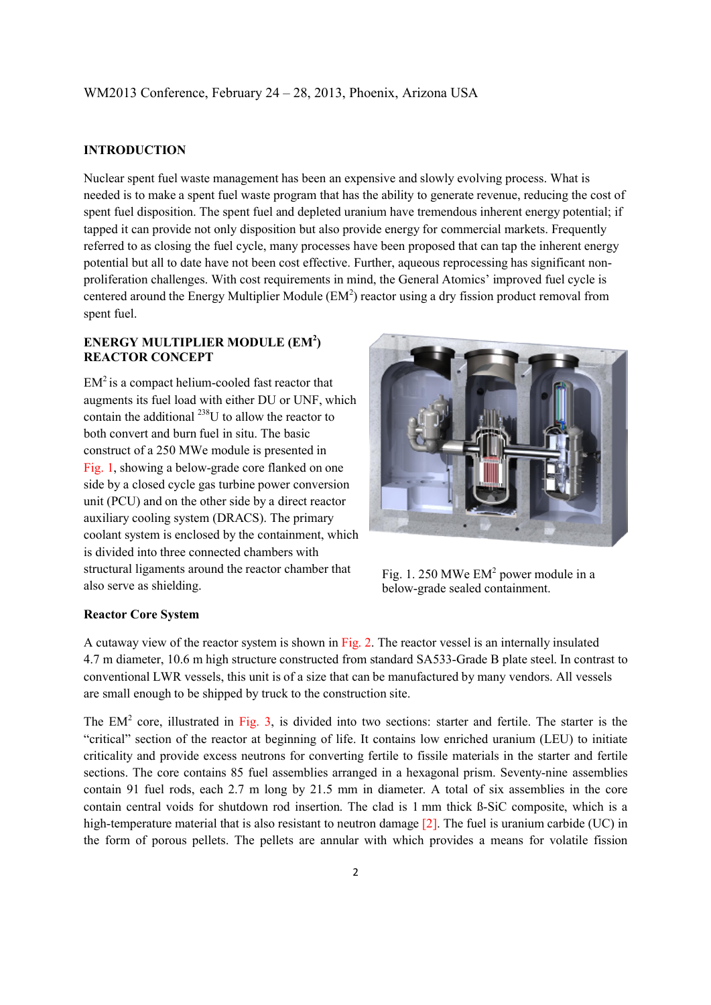#### **INTRODUCTION**

Nuclear spent fuel waste management has been an expensive and slowly evolving process. What is needed is to make a spent fuel waste program that has the ability to generate revenue, reducing the cost of spent fuel disposition. The spent fuel and depleted uranium have tremendous inherent energy potential; if tapped it can provide not only disposition but also provide energy for commercial markets. Frequently referred to as closing the fuel cycle, many processes have been proposed that can tap the inherent energy potential but all to date have not been cost effective. Further, aqueous reprocessing has significant nonproliferation challenges. With cost requirements in mind, the General Atomics' improved fuel cycle is centered around the Energy Multiplier Module  $(EM<sup>2</sup>)$  reactor using a dry fission product removal from spent fuel.

## ENERGY MULTIPLIER MODULE (EM<sup>2</sup>) **REACTOR CONCEPT**

 $EM<sup>2</sup>$  is a compact helium-cooled fast reactor that augments its fuel load with either DU or UNF, which contain the additional  $^{238}$ U to allow the reactor to both convert and burn fuel in situ. The basic construct of a 250 MWe module is presented in Fig. 1, showing a below-grade core flanked on one side by a closed cycle gas turbine power conversion unit (PCU) and on the other side by a direct reactor auxiliary cooling system (DRACS). The primary coolant system is enclosed by the containment, which is divided into three connected chambers with structural ligaments around the reactor chamber that also serve as shielding.



Fig. 1. 250 MWe EM<sup>2</sup> power module in a below-grade sealed containment.

#### **Reactor Core System**

A cutaway view of the reactor system is shown in Fig. 2. The reactor vessel is an internally insulated 4.7 m diameter, 10.6 m high structure constructed from standard SA533-Grade B plate steel. In contrast to conventional LWR vessels, this unit is of a size that can be manufactured by many vendors. All vessels are small enough to be shipped by truck to the construction site.

The  $EM<sup>2</sup>$  core, illustrated in Fig. 3, is divided into two sections: starter and fertile. The starter is the "critical" section of the reactor at beginning of life. It contains low enriched uranium (LEU) to initiate criticality and provide excess neutrons for converting fertile to fissile materials in the starter and fertile sections. The core contains 85 fuel assemblies arranged in a hexagonal prism. Seventy-nine assemblies contain 91 fuel rods, each 2.7 m long by 21.5 mm in diameter. A total of six assemblies in the core contain central voids for shutdown rod insertion. The clad is 1 mm thick ß-SiC composite, which is a high-temperature material that is also resistant to neutron damage [2]. The fuel is uranium carbide (UC) in the form of porous pellets. The pellets are annular with which provides a means for volatile fission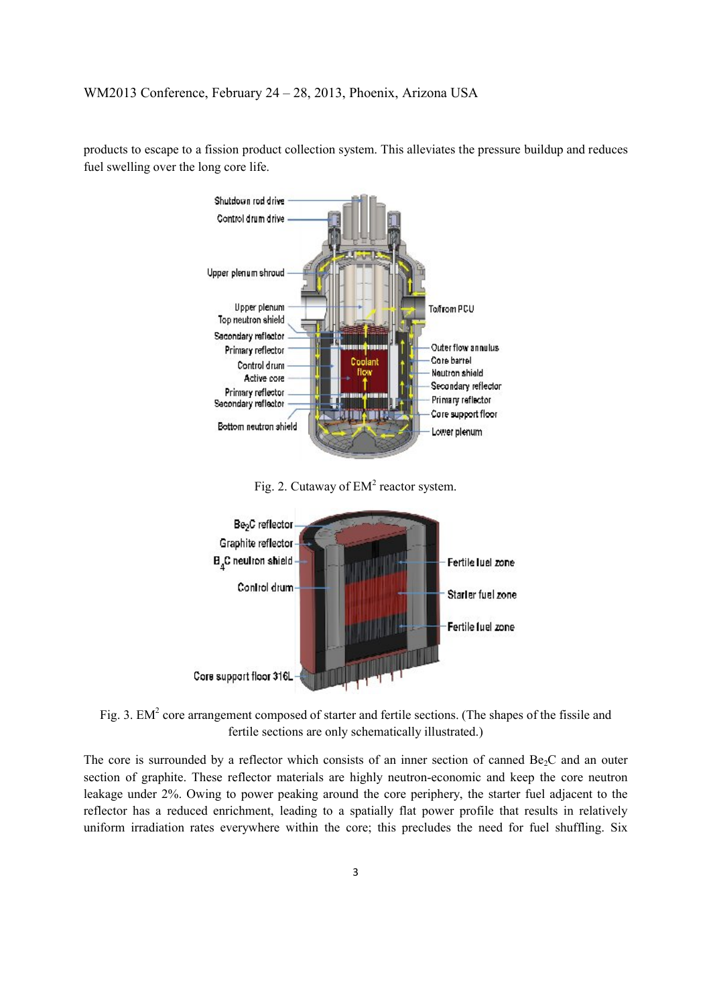

products to escape to a fission product collection system. This alleviates the pressure buildup and reduces fuel swelling over the long core life.

Fig. 2. Cutaway of  $EM<sup>2</sup>$  reactor system.



Fig. 3. EM<sup>2</sup> core arrangement composed of starter and fertile sections. (The shapes of the fissile and fertile sections are only schematically illustrated.)

The core is surrounded by a reflector which consists of an inner section of canned  $Be<sub>2</sub>C$  and an outer section of graphite. These reflector materials are highly neutron-economic and keep the core neutron leakage under 2%. Owing to power peaking around the core periphery, the starter fuel adjacent to the reflector has a reduced enrichment, leading to a spatially flat power profile that results in relatively uniform irradiation rates everywhere within the core; this precludes the need for fuel shuffling. Six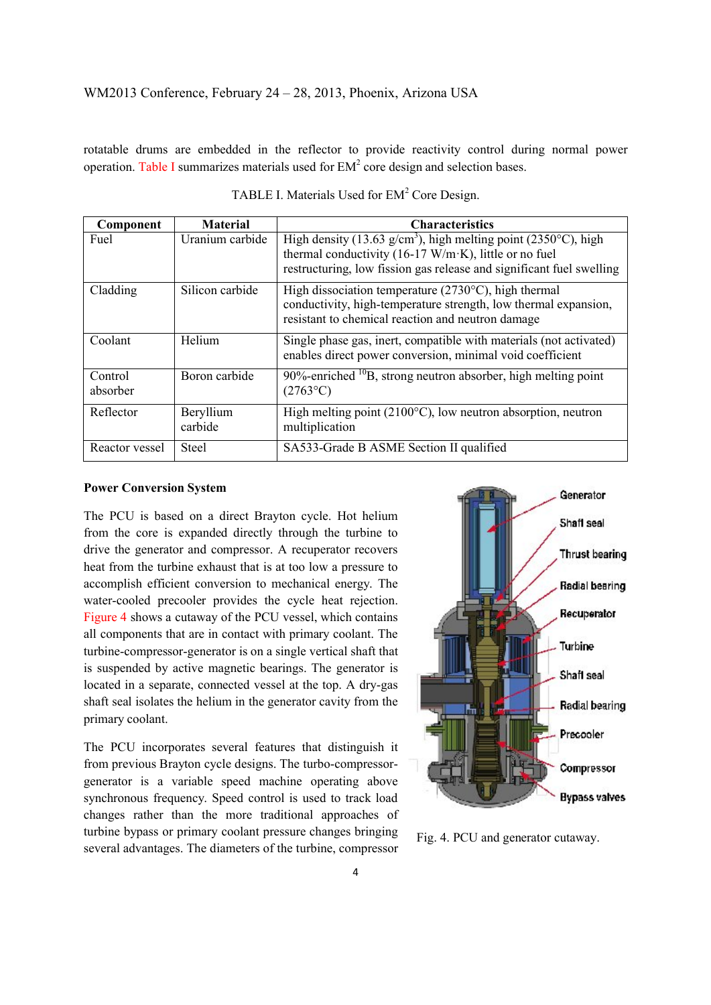rotatable drums are embedded in the reflector to provide reactivity control during normal power operation. Table I summarizes materials used for  $EM<sup>2</sup>$  core design and selection bases.

| Component           | <b>Material</b>      | <b>Characteristics</b>                                                                                                                                                                 |  |  |
|---------------------|----------------------|----------------------------------------------------------------------------------------------------------------------------------------------------------------------------------------|--|--|
| Fuel                | Uranium carbide      | High density (13.63 g/cm <sup>3</sup> ), high melting point (2350°C), high                                                                                                             |  |  |
|                     |                      | thermal conductivity (16-17 W/m·K), little or no fuel<br>restructuring, low fission gas release and significant fuel swelling                                                          |  |  |
| Cladding            | Silicon carbide      | High dissociation temperature $(2730^{\circ}C)$ , high thermal<br>conductivity, high-temperature strength, low thermal expansion,<br>resistant to chemical reaction and neutron damage |  |  |
| Coolant             | Helium               | Single phase gas, inert, compatible with materials (not activated)<br>enables direct power conversion, minimal void coefficient                                                        |  |  |
| Control<br>absorber | Boron carbide        | $90\%$ -enriched $^{10}$ B, strong neutron absorber, high melting point<br>$(2763^{\circ}C)$                                                                                           |  |  |
| Reflector           | Beryllium<br>carbide | High melting point ( $2100^{\circ}$ C), low neutron absorption, neutron<br>multiplication                                                                                              |  |  |
| Reactor vessel      | <b>Steel</b>         | SA533-Grade B ASME Section II qualified                                                                                                                                                |  |  |

| TABLE I. Materials Used for EM <sup>2</sup> Core Design. |  |  |  |
|----------------------------------------------------------|--|--|--|
|                                                          |  |  |  |

#### **Power Conversion System**

The PCU is based on a direct Brayton cycle. Hot helium from the core is expanded directly through the turbine to drive the generator and compressor. A recuperator recovers heat from the turbine exhaust that is at too low a pressure to accomplish efficient conversion to mechanical energy. The water-cooled precooler provides the cycle heat rejection. Figure 4 shows a cutaway of the PCU vessel, which contains all components that are in contact with primary coolant. The turbine-compressor-generator is on a single vertical shaft that is suspended by active magnetic bearings. The generator is located in a separate, connected vessel at the top. A dry-gas shaft seal isolates the helium in the generator cavity from the primary coolant.

The PCU incorporates several features that distinguish it from previous Brayton cycle designs. The turbo-compressorgenerator is a variable speed machine operating above synchronous frequency. Speed control is used to track load changes rather than the more traditional approaches of turbine bypass or primary coolant pressure changes bringing several advantages. The diameters of the turbine, compressor Fig. 4. PCU and generator cutaway.

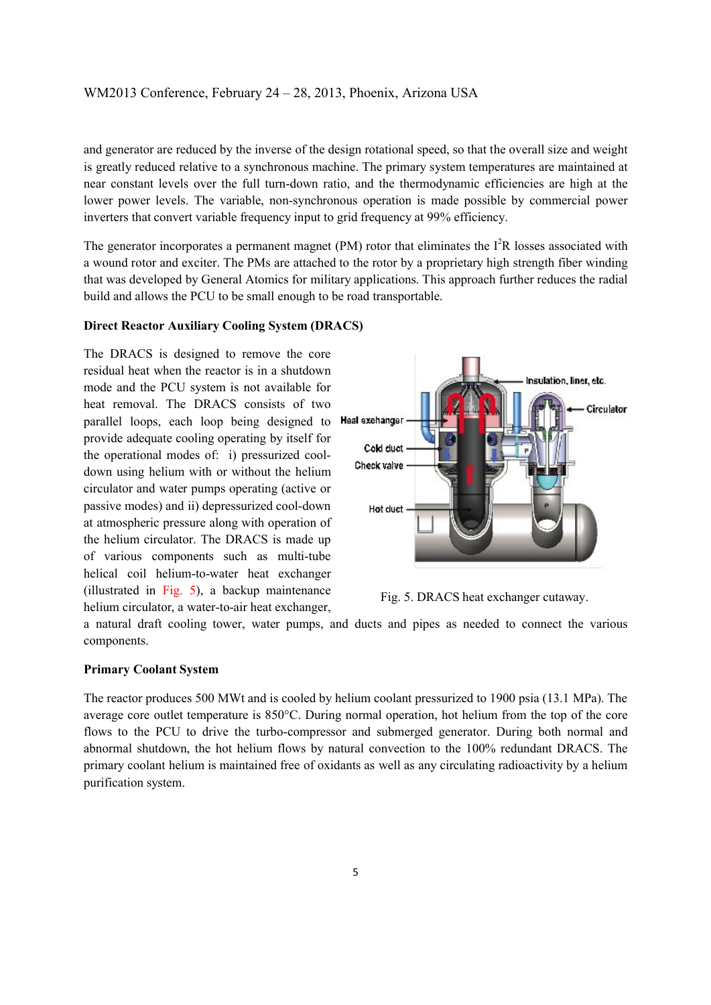and generator are reduced by the inverse of the design rotational speed, so that the overall size and weight is greatly reduced relative to a synchronous machine. The primary system temperatures are maintained at near constant levels over the full turn-down ratio, and the thermodynamic efficiencies are high at the lower power levels. The variable, non-synchronous operation is made possible by commercial power inverters that convert variable frequency input to grid frequency at 99% efficiency.

The generator incorporates a permanent magnet (PM) rotor that eliminates the  $I<sup>2</sup>R$  losses associated with a wound rotor and exciter. The PMs are attached to the rotor by a proprietary high strength fiber winding that was developed by General Atomics for military applications. This approach further reduces the radial build and allows the PCU to be small enough to be road transportable.

#### **Direct Reactor Auxiliary Cooling System (DRACS)**

The DRACS is designed to remove the core residual heat when the reactor is in a shutdown mode and the PCU system is not available for heat removal. The DRACS consists of two parallel loops, each loop being designed to provide adequate cooling operating by itself for the operational modes of: i) pressurized cooldown using helium with or without the helium circulator and water pumps operating (active or passive modes) and ii) depressurized cool-down at atmospheric pressure along with operation of the helium circulator. The DRACS is made up of various components such as multi-tube helical coil helium-to-water heat exchanger (illustrated in Fig. 5), a backup maintenance helium circulator, a water-to-air heat exchanger,



Fig. 5. DRACS heat exchanger cutaway.

a natural draft cooling tower, water pumps, and ducts and pipes as needed to connect the various components.

#### **Primary Coolant System**

The reactor produces 500 MWt and is cooled by helium coolant pressurized to 1900 psia (13.1 MPa). The average core outlet temperature is 850°C. During normal operation, hot helium from the top of the core flows to the PCU to drive the turbo-compressor and submerged generator. During both normal and abnormal shutdown, the hot helium flows by natural convection to the 100% redundant DRACS. The primary coolant helium is maintained free of oxidants as well as any circulating radioactivity by a helium purification system.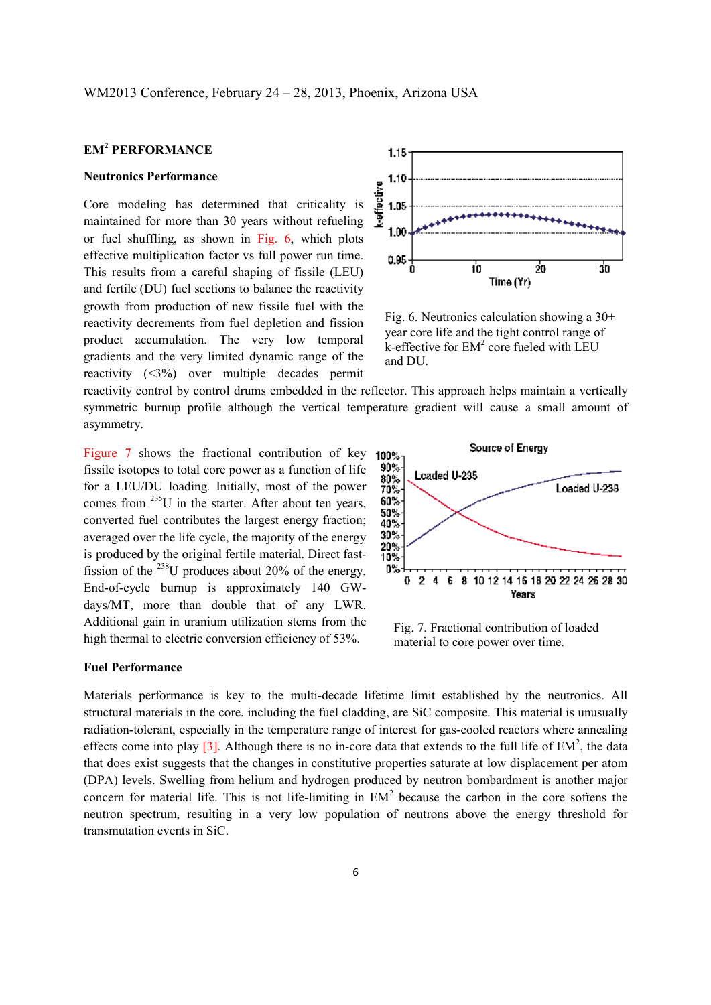# **EM<sup>2</sup> PERFORMANCE**

#### **Neutronics Performance**

Core modeling has determined that criticality is maintained for more than 30 years without refueling or fuel shuffling, as shown in Fig. 6, which plots effective multiplication factor vs full power run time. This results from a careful shaping of fissile (LEU) and fertile (DU) fuel sections to balance the reactivity growth from production of new fissile fuel with the reactivity decrements from fuel depletion and fission product accumulation. The very low temporal gradients and the very limited dynamic range of the reactivity (<3%) over multiple decades permit



Fig. 6. Neutronics calculation showing a 30+ year core life and the tight control range of  $k$ -effective for  $EM<sup>2</sup>$  core fueled with LEU and DU.

reactivity control by control drums embedded in the reflector. This approach helps maintain a vertically symmetric burnup profile although the vertical temperature gradient will cause a small amount of asymmetry.

Figure 7 shows the fractional contribution of key fissile isotopes to total core power as a function of life for a LEU/DU loading. Initially, most of the power comes from  $^{235}$ U in the starter. After about ten years, converted fuel contributes the largest energy fraction; averaged over the life cycle, the majority of the energy is produced by the original fertile material. Direct fastfission of the  $^{238}$ U produces about 20% of the energy. End-of-cycle burnup is approximately 140 GWdays/MT, more than double that of any LWR. Additional gain in uranium utilization stems from the high thermal to electric conversion efficiency of 53%.

# **Fuel Performance**



Fig. 7. Fractional contribution of loaded material to core power over time.

Materials performance is key to the multi-decade lifetime limit established by the neutronics. All structural materials in the core, including the fuel cladding, are SiC composite. This material is unusually radiation-tolerant, especially in the temperature range of interest for gas-cooled reactors where annealing effects come into play  $[3]$ . Although there is no in-core data that extends to the full life of  $EM^2$ , the data that does exist suggests that the changes in constitutive properties saturate at low displacement per atom (DPA) levels. Swelling from helium and hydrogen produced by neutron bombardment is another major concern for material life. This is not life-limiting in  $EM<sup>2</sup>$  because the carbon in the core softens the neutron spectrum, resulting in a very low population of neutrons above the energy threshold for transmutation events in SiC.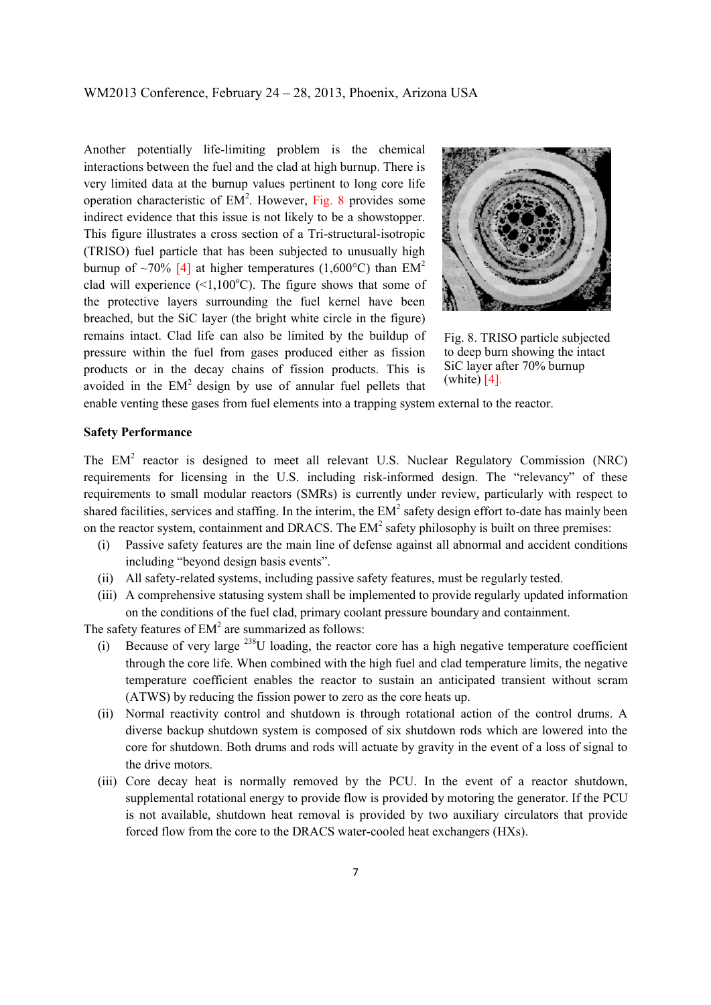Another potentially life-limiting problem is the chemical interactions between the fuel and the clad at high burnup. There is very limited data at the burnup values pertinent to long core life operation characteristic of  $EM<sup>2</sup>$ . However, Fig. 8 provides some indirect evidence that this issue is not likely to be a showstopper. This figure illustrates a cross section of a Tri-structural-isotropic (TRISO) fuel particle that has been subjected to unusually high burnup of ~70% [4] at higher temperatures (1,600°C) than  $EM^2$ clad will experience  $(\leq 1,100^{\circ}C)$ . The figure shows that some of the protective layers surrounding the fuel kernel have been breached, but the SiC layer (the bright white circle in the figure) remains intact. Clad life can also be limited by the buildup of pressure within the fuel from gases produced either as fission products or in the decay chains of fission products. This is avoided in the  $EM<sup>2</sup>$  design by use of annular fuel pellets that



Fig. 8. TRISO particle subjected to deep burn showing the intact SiC layer after 70% burnup (white) [4].

enable venting these gases from fuel elements into a trapping system external to the reactor.

#### **Safety Performance**

The EM<sup>2</sup> reactor is designed to meet all relevant U.S. Nuclear Regulatory Commission (NRC) requirements for licensing in the U.S. including risk-informed design. The "relevancy" of these requirements to small modular reactors (SMRs) is currently under review, particularly with respect to shared facilities, services and staffing. In the interim, the  $EM<sup>2</sup>$  safety design effort to-date has mainly been on the reactor system, containment and DRACS. The  $EM<sup>2</sup>$  safety philosophy is built on three premises:

- (i) Passive safety features are the main line of defense against all abnormal and accident conditions including "beyond design basis events".
- (ii) All safety-related systems, including passive safety features, must be regularly tested.
- (iii) A comprehensive statusing system shall be implemented to provide regularly updated information on the conditions of the fuel clad, primary coolant pressure boundary and containment.

The safety features of  $EM<sup>2</sup>$  are summarized as follows:

- (i) Because of very large  $^{238}$ U loading, the reactor core has a high negative temperature coefficient through the core life. When combined with the high fuel and clad temperature limits, the negative temperature coefficient enables the reactor to sustain an anticipated transient without scram (ATWS) by reducing the fission power to zero as the core heats up.
- (ii) Normal reactivity control and shutdown is through rotational action of the control drums. A diverse backup shutdown system is composed of six shutdown rods which are lowered into the core for shutdown. Both drums and rods will actuate by gravity in the event of a loss of signal to the drive motors.
- (iii) Core decay heat is normally removed by the PCU. In the event of a reactor shutdown, supplemental rotational energy to provide flow is provided by motoring the generator. If the PCU is not available, shutdown heat removal is provided by two auxiliary circulators that provide forced flow from the core to the DRACS water-cooled heat exchangers (HXs).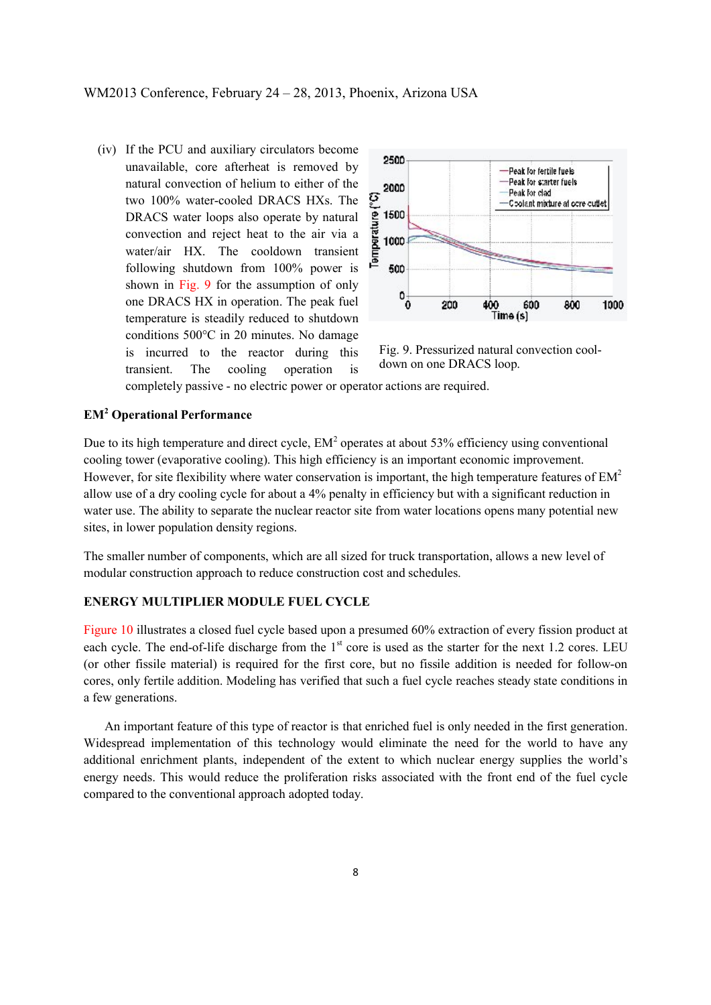(iv) If the PCU and auxiliary circulators become unavailable, core afterheat is removed by natural convection of helium to either of the two 100% water-cooled DRACS HXs. The DRACS water loops also operate by natural convection and reject heat to the air via a water/air HX. The cooldown transient following shutdown from 100% power is shown in Fig. 9 for the assumption of only one DRACS HX in operation. The peak fuel temperature is steadily reduced to shutdown conditions 500°C in 20 minutes. No damage is incurred to the reactor during this transient. The cooling operation is



Fig. 9. Pressurized natural convection cooldown on one DRACS loop.

completely passive - no electric power or operator actions are required.

## **EM<sup>2</sup> Operational Performance**

Due to its high temperature and direct cycle,  $EM^2$  operates at about 53% efficiency using conventional cooling tower (evaporative cooling). This high efficiency is an important economic improvement. However, for site flexibility where water conservation is important, the high temperature features of  $EM<sup>2</sup>$ allow use of a dry cooling cycle for about a 4% penalty in efficiency but with a significant reduction in water use. The ability to separate the nuclear reactor site from water locations opens many potential new sites, in lower population density regions.

The smaller number of components, which are all sized for truck transportation, allows a new level of modular construction approach to reduce construction cost and schedules.

#### **ENERGY MULTIPLIER MODULE FUEL CYCLE**

Figure 10 illustrates a closed fuel cycle based upon a presumed 60% extraction of every fission product at each cycle. The end-of-life discharge from the  $1<sup>st</sup>$  core is used as the starter for the next 1.2 cores. LEU (or other fissile material) is required for the first core, but no fissile addition is needed for follow-on cores, only fertile addition. Modeling has verified that such a fuel cycle reaches steady state conditions in a few generations.

An important feature of this type of reactor is that enriched fuel is only needed in the first generation. Widespread implementation of this technology would eliminate the need for the world to have any additional enrichment plants, independent of the extent to which nuclear energy supplies the world's energy needs. This would reduce the proliferation risks associated with the front end of the fuel cycle compared to the conventional approach adopted today.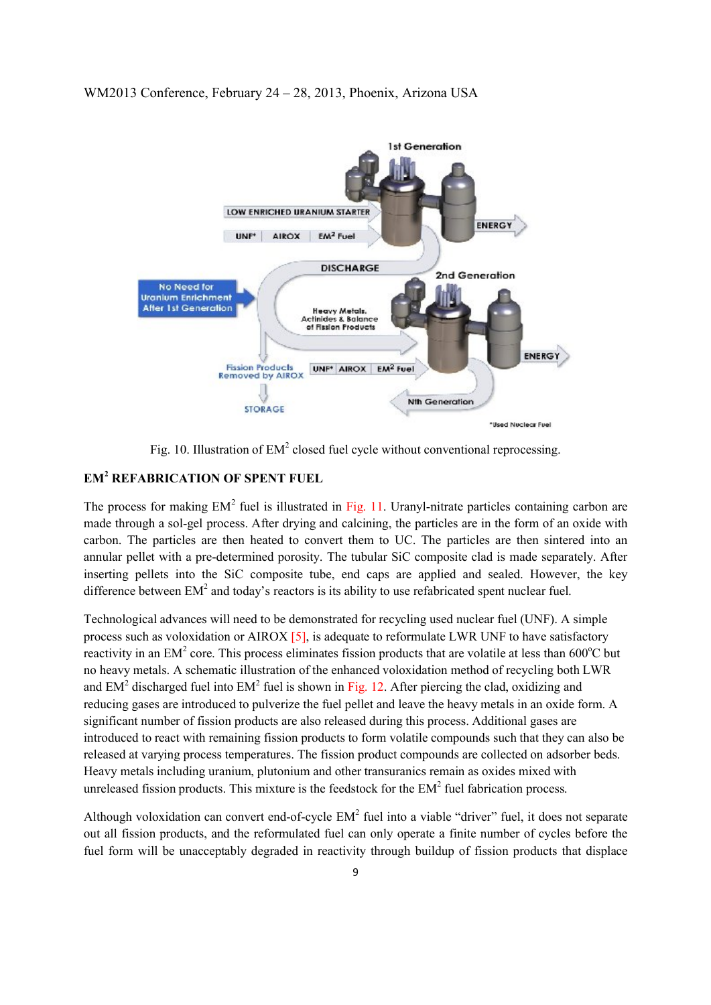

Fig. 10. Illustration of  $EM^2$  closed fuel cycle without conventional reprocessing.

# **EM<sup>2</sup> REFABRICATION OF SPENT FUEL**

The process for making  $EM^2$  fuel is illustrated in Fig. 11. Uranyl-nitrate particles containing carbon are made through a sol-gel process. After drying and calcining, the particles are in the form of an oxide with carbon. The particles are then heated to convert them to UC. The particles are then sintered into an annular pellet with a pre-determined porosity. The tubular SiC composite clad is made separately. After inserting pellets into the SiC composite tube, end caps are applied and sealed. However, the key difference between  $EM<sup>2</sup>$  and today's reactors is its ability to use refabricated spent nuclear fuel.

Technological advances will need to be demonstrated for recycling used nuclear fuel (UNF). A simple process such as voloxidation or AIROX [5], is adequate to reformulate LWR UNF to have satisfactory reactivity in an EM<sup>2</sup> core. This process eliminates fission products that are volatile at less than 600 $^{\circ}$ C but no heavy metals. A schematic illustration of the enhanced voloxidation method of recycling both LWR and  $EM<sup>2</sup>$  discharged fuel into  $EM<sup>2</sup>$  fuel is shown in Fig. 12. After piercing the clad, oxidizing and reducing gases are introduced to pulverize the fuel pellet and leave the heavy metals in an oxide form. A significant number of fission products are also released during this process. Additional gases are introduced to react with remaining fission products to form volatile compounds such that they can also be released at varying process temperatures. The fission product compounds are collected on adsorber beds. Heavy metals including uranium, plutonium and other transuranics remain as oxides mixed with unreleased fission products. This mixture is the feedstock for the  $EM<sup>2</sup>$  fuel fabrication process.

Although voloxidation can convert end-of-cycle  $EM<sup>2</sup>$  fuel into a viable "driver" fuel, it does not separate out all fission products, and the reformulated fuel can only operate a finite number of cycles before the fuel form will be unacceptably degraded in reactivity through buildup of fission products that displace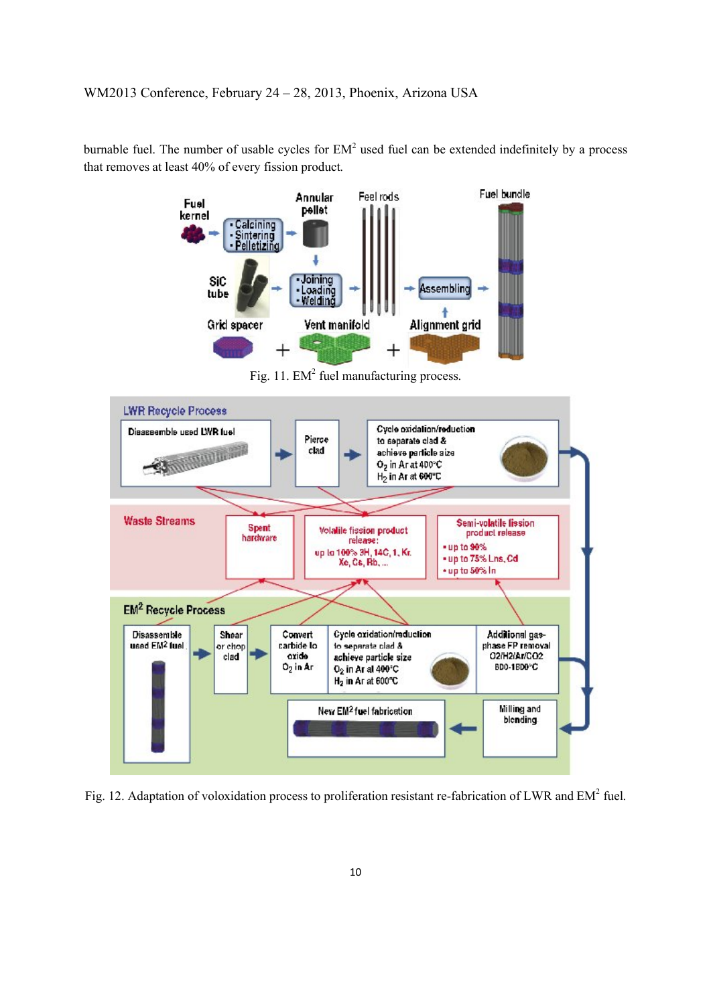burnable fuel. The number of usable cycles for  $EM<sup>2</sup>$  used fuel can be extended indefinitely by a process that removes at least 40% of every fission product.



Fig. 11. EM<sup>2</sup> fuel manufacturing process.



Fig. 12. Adaptation of voloxidation process to proliferation resistant re-fabrication of LWR and EM<sup>2</sup> fuel.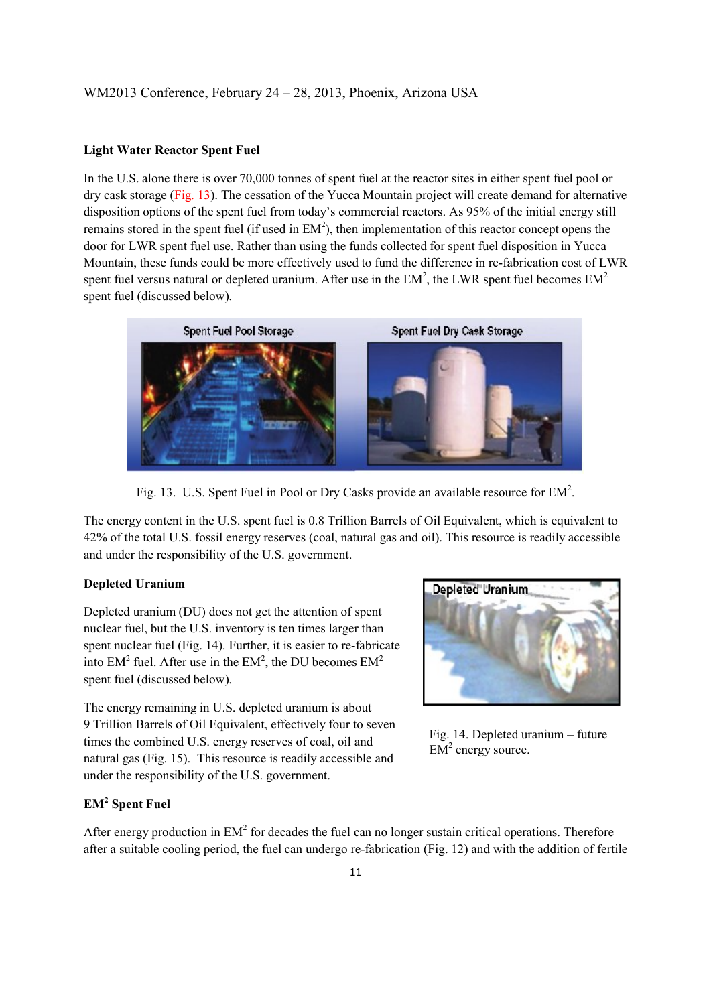#### **Light Water Reactor Spent Fuel**

In the U.S. alone there is over 70,000 tonnes of spent fuel at the reactor sites in either spent fuel pool or dry cask storage (Fig. 13). The cessation of the Yucca Mountain project will create demand for alternative disposition options of the spent fuel from today's commercial reactors. As 95% of the initial energy still remains stored in the spent fuel (if used in  $EM<sup>2</sup>$ ), then implementation of this reactor concept opens the door for LWR spent fuel use. Rather than using the funds collected for spent fuel disposition in Yucca Mountain, these funds could be more effectively used to fund the difference in re-fabrication cost of LWR spent fuel versus natural or depleted uranium. After use in the  $EM^2$ , the LWR spent fuel becomes  $EM^2$ spent fuel (discussed below).



Fig. 13. U.S. Spent Fuel in Pool or Dry Casks provide an available resource for  $EM^2$ .

The energy content in the U.S. spent fuel is 0.8 Trillion Barrels of Oil Equivalent, which is equivalent to 42% of the total U.S. fossil energy reserves (coal, natural gas and oil). This resource is readily accessible and under the responsibility of the U.S. government.

#### **Depleted Uranium**

Depleted uranium (DU) does not get the attention of spent nuclear fuel, but the U.S. inventory is ten times larger than spent nuclear fuel (Fig. 14). Further, it is easier to re-fabricate into  $EM^2$  fuel. After use in the  $EM^2$ , the DU becomes  $EM^2$ spent fuel (discussed below).

The energy remaining in U.S. depleted uranium is about 9 Trillion Barrels of Oil Equivalent, effectively four to seven times the combined U.S. energy reserves of coal, oil and natural gas (Fig. 15). This resource is readily accessible and under the responsibility of the U.S. government.



Fig. 14. Depleted uranium – future  $EM<sup>2</sup>$  energy source.

## **EM<sup>2</sup> Spent Fuel**

After energy production in  $EM<sup>2</sup>$  for decades the fuel can no longer sustain critical operations. Therefore after a suitable cooling period, the fuel can undergo re-fabrication (Fig. 12) and with the addition of fertile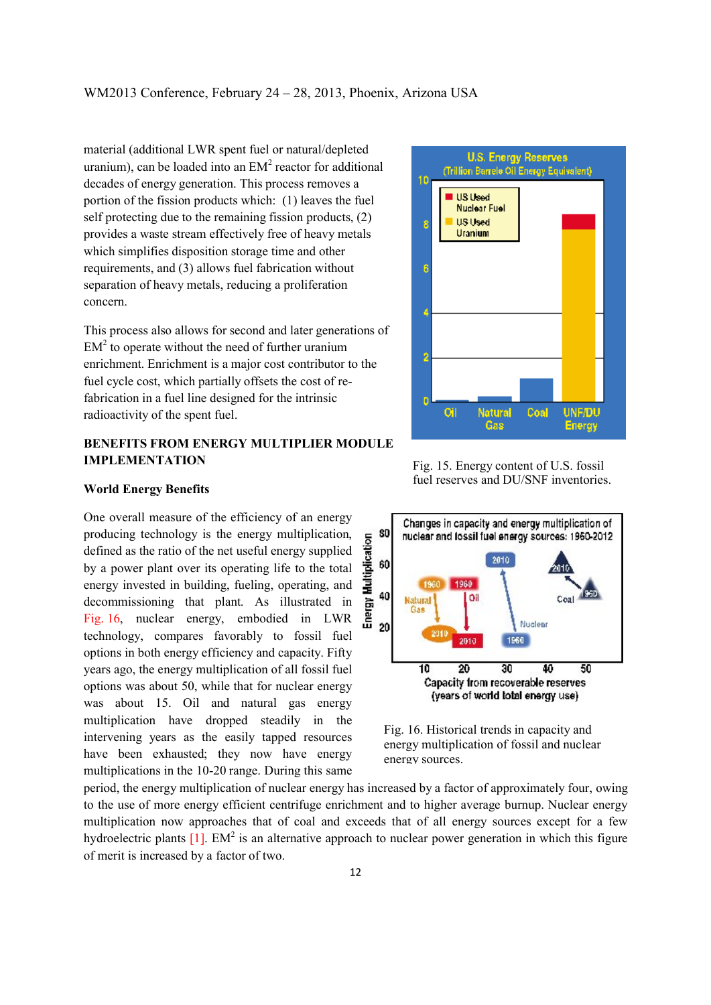material (additional LWR spent fuel or natural/depleted uranium), can be loaded into an  $EM<sup>2</sup>$  reactor for additional decades of energy generation. This process removes a portion of the fission products which: (1) leaves the fuel self protecting due to the remaining fission products, (2) provides a waste stream effectively free of heavy metals which simplifies disposition storage time and other requirements, and (3) allows fuel fabrication without separation of heavy metals, reducing a proliferation concern.

This process also allows for second and later generations of  $EM<sup>2</sup>$  to operate without the need of further uranium enrichment. Enrichment is a major cost contributor to the fuel cycle cost, which partially offsets the cost of refabrication in a fuel line designed for the intrinsic radioactivity of the spent fuel.

## **BENEFITS FROM ENERGY MULTIPLIER MODULE IMPLEMENTATION**



**World Energy Benefits**

One overall measure of the efficiency of an energy producing technology is the energy multiplication, defined as the ratio of the net useful energy supplied by a power plant over its operating life to the total energy invested in building, fueling, operating, and decommissioning that plant. As illustrated in Fig. 16, nuclear energy, embodied in LWR technology, compares favorably to fossil fuel options in both energy efficiency and capacity. Fifty years ago, the energy multiplication of all fossil fuel options was about 50, while that for nuclear energy was about 15. Oil and natural gas energy multiplication have dropped steadily in the intervening years as the easily tapped resources have been exhausted; they now have energy multiplications in the 10-20 range. During this same

Fig. 15. Energy content of U.S. fossil fuel reserves and DU/SNF inventories.



Fig. 16. Historical trends in capacity and energy multiplication of fossil and nuclear energy sources.

period, the energy multiplication of nuclear energy has increased by a factor of approximately four, owing to the use of more energy efficient centrifuge enrichment and to higher average burnup. Nuclear energy multiplication now approaches that of coal and exceeds that of all energy sources except for a few hydroelectric plants  $[1]$ . EM<sup>2</sup> is an alternative approach to nuclear power generation in which this figure of merit is increased by a factor of two.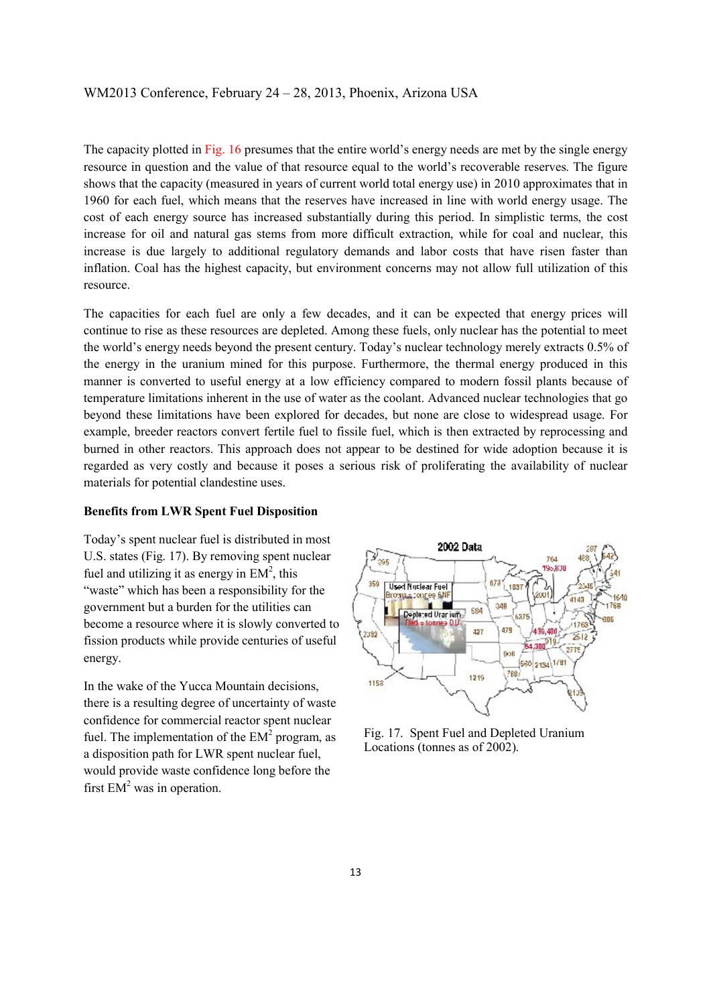The capacity plotted in Fig. 16 presumes that the entire world's energy needs are met by the single energy resource in question and the value of that resource equal to the world's recoverable reserves. The figure shows that the capacity (measured in years of current world total energy use) in 2010 approximates that in 1960 for each fuel, which means that the reserves have increased in line with world energy usage. The cost of each energy source has increased substantially during this period. In simplistic terms, the cost increase for oil and natural gas stems from more difficult extraction, while for coal and nuclear, this increase is due largely to additional regulatory demands and labor costs that have risen faster than inflation. Coal has the highest capacity, but environment concerns may not allow full utilization of this resource.

The capacities for each fuel are only a few decades, and it can be expected that energy prices will continue to rise as these resources are depleted. Among these fuels, only nuclear has the potential to meet the world's energy needs beyond the present century. Today's nuclear technology merely extracts 0.5% of the energy in the uranium mined for this purpose. Furthermore, the thermal energy produced in this manner is converted to useful energy at a low efficiency compared to modern fossil plants because of temperature limitations inherent in the use of water as the coolant. Advanced nuclear technologies that go beyond these limitations have been explored for decades, but none are close to widespread usage. For example, breeder reactors convert fertile fuel to fissile fuel, which is then extracted by reprocessing and burned in other reactors. This approach does not appear to be destined for wide adoption because it is regarded as very costly and because it poses a serious risk of proliferating the availability of nuclear materials for potential clandestine uses.

#### **Benefits from LWR Spent Fuel Disposition**

Today's spent nuclear fuel is distributed in most U.S. states (Fig. 17). By removing spent nuclear fuel and utilizing it as energy in  $EM^2$ , this "waste" which has been a responsibility for the government but a burden for the utilities can become a resource where it is slowly converted to fission products while provide centuries of useful energy.

In the wake of the Yucca Mountain decisions, there is a resulting degree of uncertainty of waste confidence for commercial reactor spent nuclear fuel. The implementation of the  $EM<sup>2</sup>$  program, as a disposition path for LWR spent nuclear fuel, would provide waste confidence long before the first  $EM<sup>2</sup>$  was in operation.



Fig. 17. Spent Fuel and Depleted Uranium Locations (tonnes as of 2002).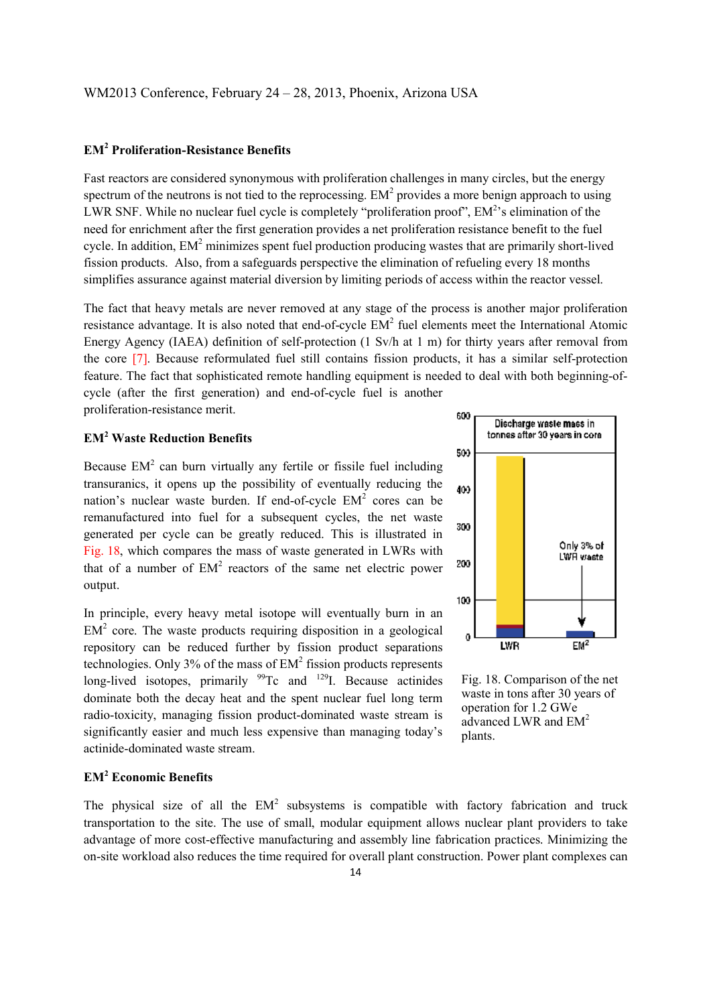## **EM<sup>2</sup> Proliferation-Resistance Benefits**

Fast reactors are considered synonymous with proliferation challenges in many circles, but the energy spectrum of the neutrons is not tied to the reprocessing.  $EM<sup>2</sup>$  provides a more benign approach to using LWR SNF. While no nuclear fuel cycle is completely "proliferation proof",  $EM<sup>2</sup>$ 's elimination of the need for enrichment after the first generation provides a net proliferation resistance benefit to the fuel cycle. In addition,  $EM^2$  minimizes spent fuel production producing wastes that are primarily short-lived fission products. Also, from a safeguards perspective the elimination of refueling every 18 months simplifies assurance against material diversion by limiting periods of access within the reactor vessel.

The fact that heavy metals are never removed at any stage of the process is another major proliferation resistance advantage. It is also noted that end-of-cycle  $EM<sup>2</sup>$  fuel elements meet the International Atomic Energy Agency (IAEA) definition of self-protection (1 Sv/h at 1 m) for thirty years after removal from the core [7]. Because reformulated fuel still contains fission products, it has a similar self-protection feature. The fact that sophisticated remote handling equipment is needed to deal with both beginning-ofcycle (after the first generation) and end-of-cycle fuel is another proliferation-resistance merit.

## **EM<sup>2</sup> Waste Reduction Benefits**

Because  $EM<sup>2</sup>$  can burn virtually any fertile or fissile fuel including transuranics, it opens up the possibility of eventually reducing the nation's nuclear waste burden. If end-of-cycle  $EM<sup>2</sup>$  cores can be remanufactured into fuel for a subsequent cycles, the net waste generated per cycle can be greatly reduced. This is illustrated in Fig. 18, which compares the mass of waste generated in LWRs with that of a number of  $EM<sup>2</sup>$  reactors of the same net electric power output.

In principle, every heavy metal isotope will eventually burn in an  $EM<sup>2</sup>$  core. The waste products requiring disposition in a geological repository can be reduced further by fission product separations technologies. Only  $3\%$  of the mass of  $EM^2$  fission products represents long-lived isotopes, primarily  $99$ Tc and  $129$ I. Because actinides dominate both the decay heat and the spent nuclear fuel long term radio-toxicity, managing fission product-dominated waste stream is significantly easier and much less expensive than managing today's actinide-dominated waste stream.

## **EM<sup>2</sup> Economic Benefits**

The physical size of all the  $EM<sup>2</sup>$  subsystems is compatible with factory fabrication and truck transportation to the site. The use of small, modular equipment allows nuclear plant providers to take advantage of more cost-effective manufacturing and assembly line fabrication practices. Minimizing the on-site workload also reduces the time required for overall plant construction. Power plant complexes can



Fig. 18. Comparison of the net waste in tons after 30 years of operation for 1.2 GWe advanced LWR and  $EM<sup>2</sup>$ plants.